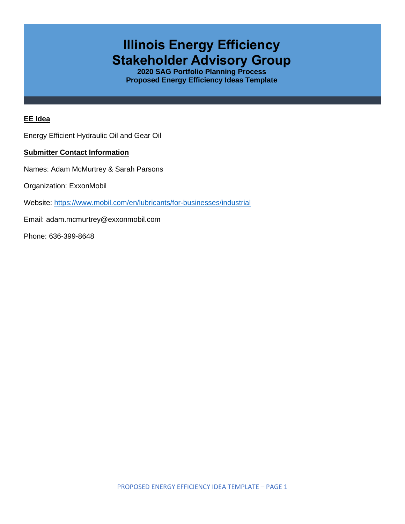# **Illinois Energy Efficiency Stakeholder Advisory Group**

**2020 SAG Portfolio Planning Process Proposed Energy Efficiency Ideas Template**

#### **EE Idea**

Energy Efficient Hydraulic Oil and Gear Oil

### **Submitter Contact Information**

Names: Adam McMurtrey & Sarah Parsons

Organization: ExxonMobil

Website: <https://www.mobil.com/en/lubricants/for-businesses/industrial>

Email: adam.mcmurtrey@exxonmobil.com

Phone: 636-399-8648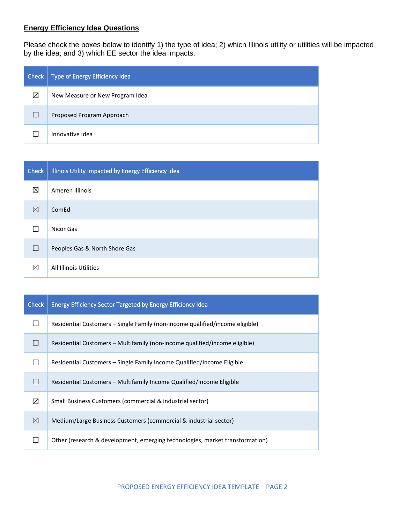## **Energy Efficiency Idea Questions**

Please check the boxes below to identify 1) the type of idea; 2) which Illinois utility or utilities will be impacted by the idea; and 3) which EE sector the idea impacts.

| Check | Type of Energy Efficiency Idea  |
|-------|---------------------------------|
| ⊠     | New Measure or New Program Idea |
|       | Proposed Program Approach       |
|       | Innovative Idea                 |

| <b>Check</b> | Illinois Utility Impacted by Energy Efficiency Idea |
|--------------|-----------------------------------------------------|
| ⊠            | Ameren Illinois                                     |
| ⊠            | ComEd                                               |
|              | Nicor Gas                                           |
| $\Box$       | Peoples Gas & North Shore Gas                       |
| ⊠            | All Illinois Utilities                              |

| <b>Check</b> | <b>Energy Efficiency Sector Targeted by Energy Efficiency Idea</b>           |
|--------------|------------------------------------------------------------------------------|
|              | Residential Customers – Single Family (non-income qualified/income eligible) |
|              | Residential Customers – Multifamily (non-income qualified/income eligible)   |
|              | Residential Customers – Single Family Income Qualified/Income Eligible       |
|              | Residential Customers – Multifamily Income Qualified/Income Eligible         |
| ⊠            | Small Business Customers (commercial & industrial sector)                    |
| ⊠            | Medium/Large Business Customers (commercial & industrial sector)             |
|              | Other (research & development, emerging technologies, market transformation) |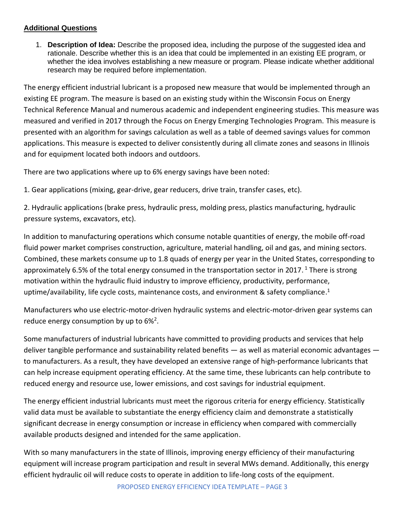## **Additional Questions**

1. **Description of Idea:** Describe the proposed idea, including the purpose of the suggested idea and rationale. Describe whether this is an idea that could be implemented in an existing EE program, or whether the idea involves establishing a new measure or program. Please indicate whether additional research may be required before implementation.

The energy efficient industrial lubricant is a proposed new measure that would be implemented through an existing EE program. The measure is based on an existing study within the Wisconsin Focus on Energy Technical Reference Manual and numerous academic and independent engineering studies. This measure was measured and verified in 2017 through the Focus on Energy Emerging Technologies Program. This measure is presented with an algorithm for savings calculation as well as a table of deemed savings values for common applications. This measure is expected to deliver consistently during all climate zones and seasons in Illinois and for equipment located both indoors and outdoors.

There are two applications where up to 6% energy savings have been noted:

1. Gear applications (mixing, gear-drive, gear reducers, drive train, transfer cases, etc).

2. Hydraulic applications (brake press, hydraulic press, molding press, plastics manufacturing, hydraulic pressure systems, excavators, etc).

In addition to manufacturing operations which consume notable quantities of energy, the mobile off-road fluid power market comprises construction, agriculture, material handling, oil and gas, and mining sectors. Combined, these markets consume up to 1.8 quads of energy per year in the United States, corresponding to approximately 6.5% of the total energy consumed in the transportation sector in 2017. <sup>1</sup> There is strong motivation within the hydraulic fluid industry to improve efficiency, productivity, performance, uptime/availability, life cycle costs, maintenance costs, and environment & safety compliance.<sup>1</sup>

Manufacturers who use electric-motor-driven hydraulic systems and electric-motor-driven gear systems can reduce energy consumption by up to  $6\%^2$ .

Some manufacturers of industrial lubricants have committed to providing products and services that help deliver tangible performance and sustainability related benefits — as well as material economic advantages to manufacturers. As a result, they have developed an extensive range of high-performance lubricants that can help increase equipment operating efficiency. At the same time, these lubricants can help contribute to reduced energy and resource use, lower emissions, and cost savings for industrial equipment.

The energy efficient industrial lubricants must meet the rigorous criteria for energy efficiency. Statistically valid data must be available to substantiate the energy efficiency claim and demonstrate a statistically significant decrease in energy consumption or increase in efficiency when compared with commercially available products designed and intended for the same application.

With so many manufacturers in the state of Illinois, improving energy efficiency of their manufacturing equipment will increase program participation and result in several MWs demand. Additionally, this energy efficient hydraulic oil will reduce costs to operate in addition to life-long costs of the equipment.